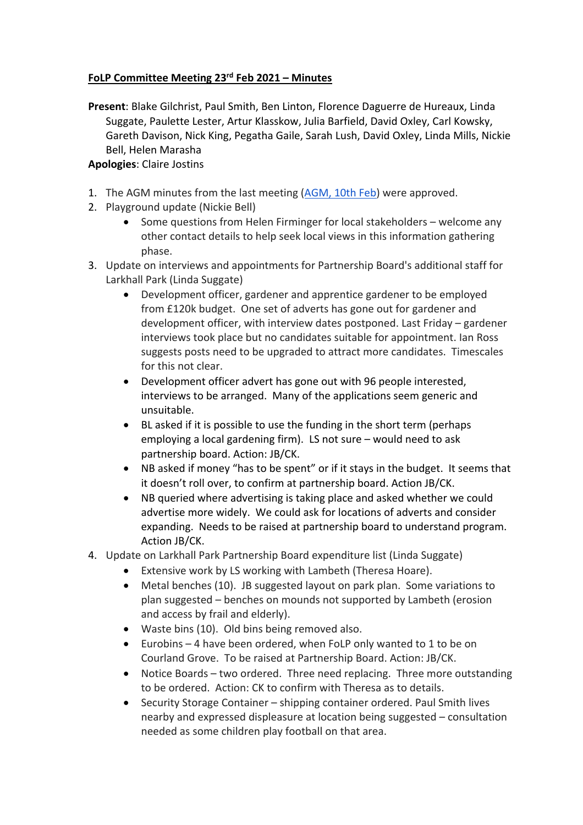## **FoLP Committee Meeting 23rd Feb 2021 – Minutes**

**Present**: Blake Gilchrist, Paul Smith, Ben Linton, Florence Daguerre de Hureaux, Linda Suggate, Paulette Lester, Artur Klasskow, Julia Barfield, David Oxley, Carl Kowsky, Gareth Davison, Nick King, Pegatha Gaile, Sarah Lush, David Oxley, Linda Mills, Nickie Bell, Helen Marasha

## **Apologies**: Claire Jostins

- 1. The AGM minutes from the last meeting (AGM, 10th Feb) were approved.
- 2. Playground update (Nickie Bell)
	- Some questions from Helen Firminger for local stakeholders welcome any other contact details to help seek local views in this information gathering phase.
- 3. Update on interviews and appointments for Partnership Board's additional staff for Larkhall Park (Linda Suggate)
	- Development officer, gardener and apprentice gardener to be employed from £120k budget. One set of adverts has gone out for gardener and development officer, with interview dates postponed. Last Friday – gardener interviews took place but no candidates suitable for appointment. Ian Ross suggests posts need to be upgraded to attract more candidates. Timescales for this not clear.
	- Development officer advert has gone out with 96 people interested, interviews to be arranged. Many of the applications seem generic and unsuitable.
	- BL asked if it is possible to use the funding in the short term (perhaps employing a local gardening firm). LS not sure – would need to ask partnership board. Action: JB/CK.
	- NB asked if money "has to be spent" or if it stays in the budget. It seems that it doesn't roll over, to confirm at partnership board. Action JB/CK.
	- NB queried where advertising is taking place and asked whether we could advertise more widely. We could ask for locations of adverts and consider expanding. Needs to be raised at partnership board to understand program. Action JB/CK.
- 4. Update on Larkhall Park Partnership Board expenditure list (Linda Suggate)
	- Extensive work by LS working with Lambeth (Theresa Hoare).
	- Metal benches (10). JB suggested layout on park plan. Some variations to plan suggested – benches on mounds not supported by Lambeth (erosion and access by frail and elderly).
	- Waste bins (10). Old bins being removed also.
	- Eurobins 4 have been ordered, when FoLP only wanted to 1 to be on Courland Grove. To be raised at Partnership Board. Action: JB/CK.
	- Notice Boards two ordered. Three need replacing. Three more outstanding to be ordered. Action: CK to confirm with Theresa as to details.
	- Security Storage Container shipping container ordered. Paul Smith lives nearby and expressed displeasure at location being suggested – consultation needed as some children play football on that area.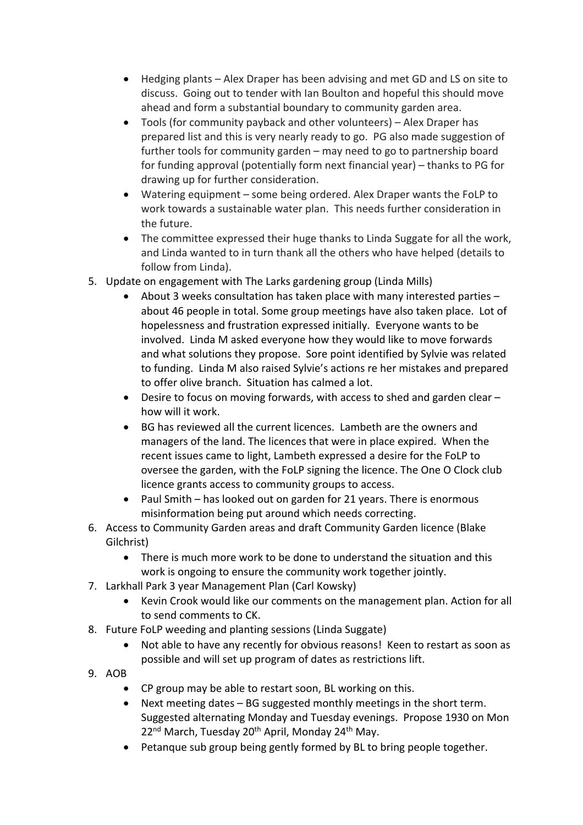- Hedging plants Alex Draper has been advising and met GD and LS on site to discuss. Going out to tender with Ian Boulton and hopeful this should move ahead and form a substantial boundary to community garden area.
- Tools (for community payback and other volunteers) Alex Draper has prepared list and this is very nearly ready to go. PG also made suggestion of further tools for community garden – may need to go to partnership board for funding approval (potentially form next financial year) – thanks to PG for drawing up for further consideration.
- Watering equipment some being ordered. Alex Draper wants the FoLP to work towards a sustainable water plan. This needs further consideration in the future.
- The committee expressed their huge thanks to Linda Suggate for all the work, and Linda wanted to in turn thank all the others who have helped (details to follow from Linda).
- 5. Update on engagement with The Larks gardening group (Linda Mills)
	- About 3 weeks consultation has taken place with many interested parties about 46 people in total. Some group meetings have also taken place. Lot of hopelessness and frustration expressed initially. Everyone wants to be involved. Linda M asked everyone how they would like to move forwards and what solutions they propose. Sore point identified by Sylvie was related to funding. Linda M also raised Sylvie's actions re her mistakes and prepared to offer olive branch. Situation has calmed a lot.
	- Desire to focus on moving forwards, with access to shed and garden clear how will it work.
	- BG has reviewed all the current licences. Lambeth are the owners and managers of the land. The licences that were in place expired. When the recent issues came to light, Lambeth expressed a desire for the FoLP to oversee the garden, with the FoLP signing the licence. The One O Clock club licence grants access to community groups to access.
	- Paul Smith has looked out on garden for 21 years. There is enormous misinformation being put around which needs correcting.
- 6. Access to Community Garden areas and draft Community Garden licence (Blake Gilchrist)
	- There is much more work to be done to understand the situation and this work is ongoing to ensure the community work together jointly.
- 7. Larkhall Park 3 year Management Plan (Carl Kowsky)
	- Kevin Crook would like our comments on the management plan. Action for all to send comments to CK.
- 8. Future FoLP weeding and planting sessions (Linda Suggate)
	- Not able to have any recently for obvious reasons! Keen to restart as soon as possible and will set up program of dates as restrictions lift.
- 9. AOB
	- CP group may be able to restart soon, BL working on this.
	- Next meeting dates BG suggested monthly meetings in the short term. Suggested alternating Monday and Tuesday evenings. Propose 1930 on Mon 22<sup>nd</sup> March, Tuesday 20<sup>th</sup> April, Monday 24<sup>th</sup> May.
	- Petanque sub group being gently formed by BL to bring people together.